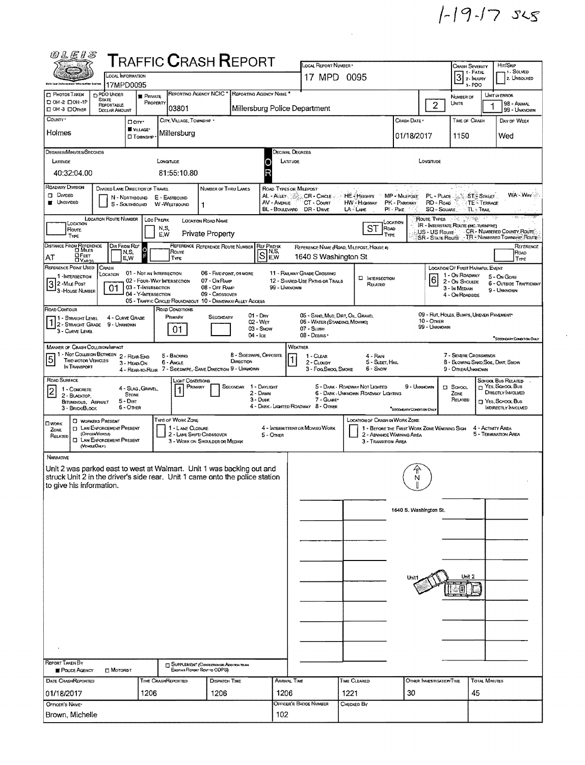$1 - 19 - 17$  ses

| <i>©LEIS</i>                                                                                                                                          |                                                   |                              |                             |                                                                                    |                                      |                                                                       | LOCAL REPORT NUMBER *                                        |      |                                     |                                                                         |                                                                                                                                                                                                          |                                                            |                      | HIT/SKIP                                                   |  |
|-------------------------------------------------------------------------------------------------------------------------------------------------------|---------------------------------------------------|------------------------------|-----------------------------|------------------------------------------------------------------------------------|--------------------------------------|-----------------------------------------------------------------------|--------------------------------------------------------------|------|-------------------------------------|-------------------------------------------------------------------------|----------------------------------------------------------------------------------------------------------------------------------------------------------------------------------------------------------|------------------------------------------------------------|----------------------|------------------------------------------------------------|--|
| <b>TRAFFIC CRASH REPORT</b><br>LOCAL INFORMATION                                                                                                      |                                                   |                              |                             |                                                                                    |                                      |                                                                       | 17 MPD 0095                                                  |      |                                     |                                                                         | CHASH SEVERITY<br>1 - Solved<br>$3$ $\overline{\phantom{a}}$ $\overline{\phantom{a}}$ $\overline{\phantom{a}}$ $\overline{\phantom{a}}$ $\overline{\phantom{a}}$ $\overline{\phantom{a}}$<br>2. UNSOLVED |                                                            |                      |                                                            |  |
| Dale Low Enforcement Intermetter<br><b>PDO UNDER</b><br>$\Box$ Photos Taken                                                                           | 17MPD0095                                         |                              |                             |                                                                                    |                                      | REPORTING AGENCY NCIC <sup>*</sup> REPORTING AGENCY NAME <sup>4</sup> |                                                              |      |                                     |                                                                         |                                                                                                                                                                                                          | 3-PDO                                                      |                      |                                                            |  |
| STATE<br>D OH-2 DOH-1P<br><b>REPORTABLE</b>                                                                                                           | <b>PRIVATE</b>                                    | PROPERTY                     | 03801                       |                                                                                    |                                      |                                                                       | Millersburg Police Department                                |      |                                     |                                                                         | $\overline{2}$                                                                                                                                                                                           | NUMBER OF<br>UNITS                                         | 1                    | UNIT IN ERROR<br>98 - ANIMAL                               |  |
| DOH 3 DOTHER<br>DOLLAR AMOUNT<br>COUNTY*                                                                                                              | Daw.                                              |                              | CITY, VILLAGE, TOWNSHIP .   |                                                                                    |                                      |                                                                       |                                                              |      |                                     | Crash Date *                                                            |                                                                                                                                                                                                          | TIME OF CRASH                                              |                      | 99 - UNKNOWN<br>DAY OF WEEK                                |  |
| Holmes                                                                                                                                                | WILLAGE*<br><b>I</b> TOWNSHIP                     |                              | Millersburg                 |                                                                                    |                                      |                                                                       |                                                              |      |                                     | 01/18/2017                                                              |                                                                                                                                                                                                          | 1150                                                       |                      | Wed                                                        |  |
| DEGREES/MINUTES/SECONDS                                                                                                                               |                                                   |                              |                             |                                                                                    |                                      |                                                                       |                                                              |      |                                     |                                                                         |                                                                                                                                                                                                          |                                                            |                      |                                                            |  |
| LATTUDE                                                                                                                                               |                                                   | <b>LONGITUDE</b>             |                             |                                                                                    |                                      | Decimal Degrees<br>LATITUDE<br>O                                      |                                                              |      |                                     |                                                                         | Longmune                                                                                                                                                                                                 |                                                            |                      |                                                            |  |
| 40:32:04.00                                                                                                                                           |                                                   |                              | 81:55:10.80                 |                                                                                    |                                      | R                                                                     |                                                              |      |                                     |                                                                         |                                                                                                                                                                                                          |                                                            |                      |                                                            |  |
| <b>ROADWAY DIVISION</b>                                                                                                                               | DIVIDED LANE DIRECTION OF TRAVEL                  |                              |                             | NUMBER OF THRU LANES                                                               |                                      | ROAD TYPES OR MILEPOST                                                |                                                              |      |                                     |                                                                         |                                                                                                                                                                                                          |                                                            |                      |                                                            |  |
| <b>D</b> Divideo<br><b>UNDIVIDED</b>                                                                                                                  | N - Ndrthbound<br>S - SOUTHBOUND                  | E - EASTBOUND<br>W-WESTBOUND |                             | 1                                                                                  |                                      | AL - ALLEY<br>AV - AVENUE                                             | $CR -$ Circle $\sim$<br>CT - COURT                           |      | <b>HE</b> Heights<br>HW - Highway   | MP - Miureost<br>PK - PARKWAY                                           | RD-Road                                                                                                                                                                                                  |                                                            | TE - TERRACE         | WA-WAY                                                     |  |
| <b>LOCATION ROUTE NUMBER</b>                                                                                                                          |                                                   | LOC PREPIX                   |                             | LOCATION ROAD NAME                                                                 |                                      |                                                                       | BL - BOULEVARD DR - DRIVE                                    |      | LA - LAME                           | $PI - P$ ike<br>Location                                                | SQ - SOUARE<br>ROUTE TYPES                                                                                                                                                                               | 문화 등원 13원                                                  | TL - TRAIL           |                                                            |  |
| LOCATION<br>ROUTE<br>TYPE                                                                                                                             |                                                   | N,S,<br>E.W                  |                             | <b>Private Property</b>                                                            |                                      |                                                                       |                                                              |      | <b>ST</b>                           | ROAD<br>TYPE                                                            |                                                                                                                                                                                                          | IR - INTERSTATE ROUTE (INC. TURNPIKE)                      |                      | US - US Route CR - NUMBERED COUNTY ROUTE                   |  |
| DISTANCE FROM REFERENCE                                                                                                                               | DIR FROM REF<br>$\overline{O}$                    |                              |                             | REFERENCE REFERENCE ROUTE NUMBER                                                   |                                      | <b>REF PREFIX</b>                                                     | REFERENCE NAME (ROAD, MILEPOST, HOUSE #)                     |      |                                     |                                                                         |                                                                                                                                                                                                          |                                                            |                      | SR - STATE ROUTE TR - Numsered Township Route<br>REFERENCE |  |
| $\Box$ Feet<br>АT<br><b>CIYARDS</b>                                                                                                                   | N,S,<br>E, W                                      |                              | Roune<br>Type               |                                                                                    |                                      | S]¤.s,                                                                | 1640 S Washington St                                         |      |                                     |                                                                         |                                                                                                                                                                                                          |                                                            |                      | ROAD<br>TYPE                                               |  |
| REFERENCE POINT USED<br>CRASH<br>LOCATION<br>1 - INTERSECTION                                                                                         | 01 - Not an Intersection                          |                              |                             | 06 - FIVE-POINT, OR MORE                                                           |                                      |                                                                       | 11 - RAILWAY GRADE CROSSING                                  |      | <b>D</b> INTERSECTION               |                                                                         | $\overline{6}$                                                                                                                                                                                           | LOCATION OF FIRST HARMFUL EVENT<br>1 - On ROADWAY          |                      | 5 - On Gore                                                |  |
| 3 2 - Mile Post<br>3 - House Number<br>01                                                                                                             | 02 - Four-Way Intersection<br>03 - T-INTERSECTION |                              |                             | 07 - On Ramp<br>08 - OFF RAMP                                                      |                                      | 99 - Unknown                                                          | 12 - SHARED-USE PATHS OR TRAILS                              |      | RELATED                             |                                                                         |                                                                                                                                                                                                          | 2 - On Shoutne<br>3 - In MEDIAN                            |                      | 6 - OUTSIDE TRAFFICWAY<br>9 - Unknown                      |  |
|                                                                                                                                                       | 04 - Y-INTERSECTION                               |                              |                             | 09 - Crossover<br>05 - TRAFFIC CIRCLE/ ROUNDABOUT 10 - DRIVEWAY/ ALLEY ACCESS      |                                      |                                                                       |                                                              |      |                                     |                                                                         |                                                                                                                                                                                                          | 4 - ON ROADSIDE                                            |                      |                                                            |  |
| ROAD CONTOUR<br>11 - Straight Level                                                                                                                   | 4 - CURVE GRADE                                   |                              | ROAD CONDITIONS<br>PRIMARY  | SECONDARY                                                                          |                                      | $01 - \text{Day}$<br>02 - WET                                         | 05 - SAND, MUD, DIRT, OIL, GRAVEL                            |      |                                     |                                                                         | 10 - Omer                                                                                                                                                                                                | 09 - RUT, HOLES, BUMPS, UNEVEN PAVEMENT                    |                      |                                                            |  |
| 1 2 - STRAIGHT GRADE<br>3 - CURVE LEVEL                                                                                                               | 9 - Unknown                                       |                              | 01                          |                                                                                    | $04 - \log$                          | 03 - Show                                                             | 06 - WATER (STANDING, MOVING)<br>07 - SLUSH<br>08 - DEBRIS · |      |                                     |                                                                         | 99 - Unignown                                                                                                                                                                                            |                                                            |                      |                                                            |  |
| <b>MANNER OF CRASH COLLISION/IMPACT</b>                                                                                                               |                                                   |                              |                             |                                                                                    |                                      |                                                                       | WEATHER                                                      |      |                                     |                                                                         |                                                                                                                                                                                                          |                                                            |                      | SECONDARY CONDITION ONLY                                   |  |
| 1 - Not Collision Between 2 - Rear-End<br>$\overline{5}$<br><b>TWO MOTOR VEHICLES</b>                                                                 | 3 - HEAD-ON                                       |                              | 5 - BACKING<br>6 - ANGLE    |                                                                                    | 8 - SIDESWIPE, OPPOSITE<br>DIRECTION |                                                                       | $1 - C$ LEAR<br>2 - CLOUDY                                   |      | 4 - Rain<br>5 - SLEET, HAL          |                                                                         |                                                                                                                                                                                                          | 7 - SEVERE CROSSWINDS<br>8 - BLOWING SAND, SOL, DIRT, SNOW |                      |                                                            |  |
| IN TRANSPORT                                                                                                                                          | 4 - REAR-TO-REAR                                  |                              |                             | 7 - SIDESWIPE, SAME DIRECTION 9 - UNKNOWN                                          |                                      |                                                                       | 3 - Fog, Smog, Smoke                                         |      | 6 - Snow                            |                                                                         |                                                                                                                                                                                                          | 9 - Other/Unknown                                          |                      |                                                            |  |
| ROAD SURFACE<br>1 - CONCRETE<br>$\overline{2}$                                                                                                        | 4 - Slag, Gravel                                  |                              | LIGHT CONDITIONS<br>Primary |                                                                                    | SECONDAR                             | 1 - Dayught                                                           |                                                              |      | 5 - DARK - ROADWAY NOT LIGHTED      | 9 - Unknown                                                             |                                                                                                                                                                                                          | $\Box$ Sancou                                              |                      | SCHOOL BUS RELATED<br>NES, SCHOOL Bus<br>DIRECTLY INVOLVED |  |
| 2 - BLACKTOP,<br>BITUMINOUS, ASPHALT                                                                                                                  | <b>STONE</b><br>$5 - Diff$                        |                              |                             |                                                                                    |                                      | 2 - DAWN<br>3 - Dusk                                                  | 7 - GLARE*<br>4 - DARK - LIGHTED ROADWAY 8 - OTHER           |      | 6 - DARK - UNRNOWN ROADWAY LIGHTING |                                                                         |                                                                                                                                                                                                          | ZONE<br>RELATED                                            |                      | T YES, SCHOOL BUS                                          |  |
| 3 - BRICK/BLOCK<br><b>D</b> WORKERS PRESENT                                                                                                           | $6 -$ Other                                       |                              | TYPE OF WORK ZONE           |                                                                                    |                                      |                                                                       |                                                              |      | LOCATION OF CRASH IN WORK ZONE      | "SECONDARY CONDITION ONLY                                               |                                                                                                                                                                                                          |                                                            |                      | INDIRECTLY INVOLVED                                        |  |
| <b>CIWORK</b><br><b>TI LAW ENFORCEMENT PRESENT</b><br>ZONE<br>(OFFICER/VEHICLE)                                                                       |                                                   |                              | 1 - LANE CLOSURE            | 2 - LANE SHIFT/ CROSSOVER                                                          |                                      | 5 - OTHER                                                             | 4 - INTERMITTENT OR MOVING WORK                              |      |                                     | 1 - BEFORE THE FIRST WORK ZONE WARNING SIGN<br>2 - ADVANCE WARNING AREA |                                                                                                                                                                                                          |                                                            | 4 - ACTIVITY AREA    | 5 - TERMINATION AREA                                       |  |
| RELATED<br><b>ELAW ENFORCEMENT PRESENT</b><br>(VEHOLEO/KY)                                                                                            |                                                   |                              |                             | 3 - WORK ON SHOULDER OR MEDIAN                                                     |                                      |                                                                       |                                                              |      | 3 - Transition Area                 |                                                                         |                                                                                                                                                                                                          |                                                            |                      |                                                            |  |
| NARRATIVE                                                                                                                                             |                                                   |                              |                             |                                                                                    |                                      |                                                                       |                                                              |      |                                     |                                                                         |                                                                                                                                                                                                          |                                                            |                      |                                                            |  |
| Unit 2 was parked east to west at Walmart. Unit 1 was backing out and<br>struck Unit 2 in the driver's side rear. Unit 1 came onto the police station |                                                   |                              |                             |                                                                                    |                                      |                                                                       |                                                              |      |                                     | 分<br>N                                                                  |                                                                                                                                                                                                          |                                                            |                      |                                                            |  |
| to give his information.                                                                                                                              |                                                   |                              |                             |                                                                                    |                                      |                                                                       |                                                              |      |                                     |                                                                         |                                                                                                                                                                                                          |                                                            |                      |                                                            |  |
|                                                                                                                                                       |                                                   |                              |                             |                                                                                    |                                      |                                                                       |                                                              |      |                                     |                                                                         |                                                                                                                                                                                                          |                                                            |                      |                                                            |  |
|                                                                                                                                                       |                                                   |                              |                             |                                                                                    |                                      |                                                                       |                                                              |      |                                     | 1640 S. Washington St.                                                  |                                                                                                                                                                                                          |                                                            |                      |                                                            |  |
|                                                                                                                                                       |                                                   |                              |                             |                                                                                    |                                      |                                                                       |                                                              |      |                                     |                                                                         |                                                                                                                                                                                                          |                                                            |                      |                                                            |  |
|                                                                                                                                                       |                                                   |                              |                             |                                                                                    |                                      |                                                                       |                                                              |      |                                     |                                                                         |                                                                                                                                                                                                          |                                                            |                      |                                                            |  |
|                                                                                                                                                       |                                                   |                              |                             |                                                                                    |                                      |                                                                       |                                                              |      |                                     |                                                                         |                                                                                                                                                                                                          |                                                            |                      |                                                            |  |
|                                                                                                                                                       |                                                   |                              |                             |                                                                                    |                                      |                                                                       |                                                              |      |                                     |                                                                         |                                                                                                                                                                                                          | Unit 2                                                     |                      |                                                            |  |
|                                                                                                                                                       |                                                   |                              |                             |                                                                                    |                                      |                                                                       |                                                              |      |                                     |                                                                         |                                                                                                                                                                                                          |                                                            |                      |                                                            |  |
|                                                                                                                                                       |                                                   |                              |                             |                                                                                    |                                      |                                                                       |                                                              |      |                                     |                                                                         |                                                                                                                                                                                                          |                                                            |                      |                                                            |  |
|                                                                                                                                                       |                                                   |                              |                             |                                                                                    |                                      |                                                                       |                                                              |      |                                     |                                                                         |                                                                                                                                                                                                          |                                                            |                      |                                                            |  |
|                                                                                                                                                       |                                                   |                              |                             |                                                                                    |                                      |                                                                       |                                                              |      |                                     |                                                                         |                                                                                                                                                                                                          |                                                            |                      |                                                            |  |
|                                                                                                                                                       |                                                   |                              |                             |                                                                                    |                                      |                                                                       |                                                              |      |                                     |                                                                         |                                                                                                                                                                                                          |                                                            |                      |                                                            |  |
| <b>REPORT TAKEN BY</b>                                                                                                                                |                                                   |                              |                             |                                                                                    |                                      |                                                                       |                                                              |      |                                     |                                                                         |                                                                                                                                                                                                          |                                                            |                      |                                                            |  |
| <b>C</b> MOTORIST<br>POUCE AGENCY                                                                                                                     |                                                   |                              |                             | <b>T SUPPLEMENT (CORRECTION OR ADDITION TO AN</b><br>Existing Report Sent to ODPS) |                                      |                                                                       |                                                              |      |                                     |                                                                         |                                                                                                                                                                                                          |                                                            |                      |                                                            |  |
| DATE CRASHREPORTED                                                                                                                                    |                                                   | TIME CRASHREPORTEO           |                             | <b>DISPATCH TIME</b>                                                               |                                      | <b>ARRIVAL TIME</b>                                                   |                                                              |      | TIME CLEARED                        |                                                                         | OTHER INVESTIGATION TIME                                                                                                                                                                                 |                                                            | <b>TOTAL MINUTES</b> |                                                            |  |
| 01/18/2017<br>OFFICER'S NAME*                                                                                                                         | 1206                                              |                              |                             | 1206                                                                               |                                      | 1206                                                                  | OFFICER'S BADGE NUMBER                                       | 1221 | CHECKED BY                          | 30                                                                      |                                                                                                                                                                                                          | 45                                                         |                      |                                                            |  |
| Brown, Michelle                                                                                                                                       |                                                   |                              |                             |                                                                                    |                                      | 102                                                                   |                                                              |      |                                     |                                                                         |                                                                                                                                                                                                          |                                                            |                      |                                                            |  |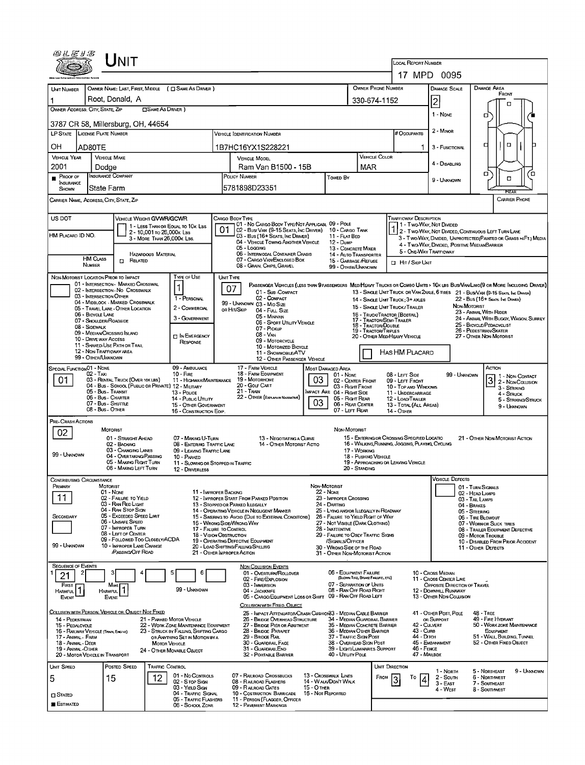| @LEIS                                                                                                                          |                                                | Jnit                                                                  |                                                         |                                                                                |  |                                                                                                                                                                                                |                                            |                                                                                                                  |                                     |                                  | <b>LOCAL REPORT NUMBER</b>                      |                                                        |                              |                                                                                                                              |  |  |  |  |
|--------------------------------------------------------------------------------------------------------------------------------|------------------------------------------------|-----------------------------------------------------------------------|---------------------------------------------------------|--------------------------------------------------------------------------------|--|------------------------------------------------------------------------------------------------------------------------------------------------------------------------------------------------|--------------------------------------------|------------------------------------------------------------------------------------------------------------------|-------------------------------------|----------------------------------|-------------------------------------------------|--------------------------------------------------------|------------------------------|------------------------------------------------------------------------------------------------------------------------------|--|--|--|--|
|                                                                                                                                |                                                |                                                                       |                                                         |                                                                                |  |                                                                                                                                                                                                |                                            |                                                                                                                  |                                     |                                  |                                                 | 17 MPD 0095                                            |                              |                                                                                                                              |  |  |  |  |
| <b>UNIT NUMBER</b>                                                                                                             |                                                | OWNER NAME: LAST, FIRST, MIDDLE ( C SAME AS DRIVER )                  |                                                         | OWNER PHONE NUMBER                                                             |  | <b>DAMAGE SCALE</b>                                                                                                                                                                            |                                            | <b>DAMAGE AREA</b>                                                                                               |                                     |                                  |                                                 |                                                        |                              |                                                                                                                              |  |  |  |  |
| Root, Donald, A                                                                                                                |                                                |                                                                       |                                                         |                                                                                |  |                                                                                                                                                                                                |                                            |                                                                                                                  |                                     |                                  | 330-674-1152                                    | $\overline{2}$                                         |                              | FRONT                                                                                                                        |  |  |  |  |
| OWNER ADDRESS: CITY, STATE, ZIP<br>SAME AS DRIVER )                                                                            |                                                |                                                                       |                                                         |                                                                                |  |                                                                                                                                                                                                |                                            |                                                                                                                  |                                     |                                  | □                                               |                                                        |                              |                                                                                                                              |  |  |  |  |
| 3787 CR 58, Millersburg, OH, 44654                                                                                             |                                                |                                                                       |                                                         |                                                                                |  |                                                                                                                                                                                                |                                            |                                                                                                                  |                                     |                                  |                                                 |                                                        | 1 - None<br>σ                |                                                                                                                              |  |  |  |  |
| LP STATE LICENSE PLATE NUMBER<br>VEHICLE IDENTIFICATION NUMBER                                                                 |                                                |                                                                       |                                                         |                                                                                |  |                                                                                                                                                                                                |                                            |                                                                                                                  |                                     |                                  |                                                 | 2 - Minon                                              |                              |                                                                                                                              |  |  |  |  |
| OН                                                                                                                             | AD80TE                                         |                                                                       |                                                         |                                                                                |  | 1B7HC16YX1S228221                                                                                                                                                                              |                                            |                                                                                                                  |                                     |                                  | 1.                                              | 3 - FUNCTIONAL                                         |                              | o<br>п                                                                                                                       |  |  |  |  |
| <b>VEHICLE YEAR</b>                                                                                                            | <b>VEHICLE MAKE</b>                            |                                                                       |                                                         |                                                                                |  | <b>VEHICLE MODEL</b>                                                                                                                                                                           |                                            |                                                                                                                  |                                     | <b>VEHICLE COLOR</b>             |                                                 |                                                        |                              |                                                                                                                              |  |  |  |  |
| 2001                                                                                                                           | Dodae                                          |                                                                       |                                                         |                                                                                |  | Ram Van B1500 - 15B                                                                                                                                                                            |                                            | <b>MAR</b>                                                                                                       |                                     |                                  | 4 - DISABLING                                   |                                                        | σ<br>้ต                      |                                                                                                                              |  |  |  |  |
| $P$ ROOF OF<br>INSURANCE<br><b>SHOWN</b>                                                                                       | INSURANCE COMPANY<br>State Farm                |                                                                       |                                                         |                                                                                |  | POLICY NUMBER<br>5781898D23351                                                                                                                                                                 |                                            | Towed By                                                                                                         |                                     |                                  |                                                 | 9 - UNKNOWN                                            | α                            |                                                                                                                              |  |  |  |  |
| CARRIER NAME, ADDRESS, CITY, STATE, ZIP                                                                                        |                                                |                                                                       |                                                         |                                                                                |  |                                                                                                                                                                                                |                                            |                                                                                                                  |                                     |                                  |                                                 |                                                        |                              | <b>FEAR</b><br><b>CARRIER PHONE</b>                                                                                          |  |  |  |  |
| US DOT                                                                                                                         |                                                | VEHICLE WEIGHT GVWR/GCWR                                              |                                                         |                                                                                |  | CARGO BODY TYPE                                                                                                                                                                                |                                            |                                                                                                                  |                                     |                                  | <b>TRAFFICWAY DESCRIPTION</b>                   |                                                        |                              |                                                                                                                              |  |  |  |  |
|                                                                                                                                |                                                |                                                                       |                                                         | 1 - LESS THAN OR EOUAL TO 10K LBS                                              |  | 01 - No CARGO BODY TYPE/NOT APPLICABL 09 - POLE<br>02 - Bus/VAN (9-15 SEATS, INC DRIVER) 10 - CARGO TANK                                                                                       |                                            |                                                                                                                  |                                     |                                  |                                                 | 1 - Two-Way, Not Divided                               |                              | I 2 - TWO-WAY, NOT DIVIDED, CONTINUOUS LEFT TURN LANE                                                                        |  |  |  |  |
| HM PLACARD ID NO.                                                                                                              |                                                |                                                                       | 2 - 10,001 To 26,000K LBS<br>3 - MORE THAN 26,000K LBS. |                                                                                |  | 03 - Bus (16+ Seats, Inc Driver)<br>04 - VEHICLE TOWING ANOTHER VEHICLE                                                                                                                        |                                            | 11 - FLAT BED<br>12 - Dump                                                                                       |                                     |                                  |                                                 |                                                        |                              | 3 - Two-Way Dimoed, Unprotected (Painted or Grass > FT.) Media                                                               |  |  |  |  |
|                                                                                                                                |                                                |                                                                       | <b>HAZARDOUS MATERIAL</b>                               |                                                                                |  | 05 - Logging<br>06 - INTERMODAL CONTAINER CHASIS                                                                                                                                               |                                            | 13 - CONCRETE MIXER<br>14 - AUTO TRANSPORTER                                                                     |                                     |                                  | 5 - ONE-WAY TRAFFICWAY                          | 4 - Two-Way, DMDED, POSITIVE MEDIANBARRIER             |                              |                                                                                                                              |  |  |  |  |
|                                                                                                                                | <b>HM CLASS</b><br><b>NUMBER</b>               | <b>CI RELATED</b>                                                     |                                                         |                                                                                |  | 07 - CARGO VAN ENCLOSED BOX<br>08 - GRAIN, CHIPS, GRAVEL                                                                                                                                       | 15 - GARBAGE /REFUSE<br>99 - OTHER/UNKNOWN |                                                                                                                  | <b>D</b> HIT / SKIP UNIT            |                                  |                                                 |                                                        |                              |                                                                                                                              |  |  |  |  |
| NON-MOTORIST LOCATION PRIOR TO IMPACT                                                                                          |                                                |                                                                       |                                                         | TYPE OF USE                                                                    |  | UNIT TYPE                                                                                                                                                                                      |                                            |                                                                                                                  |                                     |                                  |                                                 |                                                        |                              |                                                                                                                              |  |  |  |  |
|                                                                                                                                |                                                | 01 - INTERSECTION - MARKED CROSSWAL                                   |                                                         |                                                                                |  | 07                                                                                                                                                                                             |                                            |                                                                                                                  |                                     |                                  |                                                 |                                                        |                              | PASSENGER VEHICLES (LESS THAN 9 PASSENGERS MED/HEAVY TRUCKS OR COMBO UNITS > 10K LBS BUS/VAWLIMO(9 OR MORE INCLUDING DRIVER) |  |  |  |  |
|                                                                                                                                | 03 - INTERSECTION OTHER                        | 02 - INTERSECTION - NO CROSSWALK                                      |                                                         | 1 - PERSONAL                                                                   |  | 01 - Sub-COMPACT<br>02 - COMPACT                                                                                                                                                               |                                            |                                                                                                                  |                                     |                                  | 14 - SINGLE UNIT TRUCK; 3+ AXLES                |                                                        |                              | 13 - SINGLE UNIT TRUCK OR VAN 2AXLE, 6 TIRES 21 - BUS/VAN (9-15 SEATS, INC DRIVER)<br>22 - Bus (16+ Seats, Inc Draver)       |  |  |  |  |
|                                                                                                                                |                                                | 04 - MIDBLOCK - MARKED CROSSWALK<br>05 - TRAVEL LANE - OTHER LOCATION |                                                         | 2 - COMMERCIAL                                                                 |  | 99 - UNKNOWN 03 - MID SIZE<br>OR HIT/SKIP<br>04 - Full Size                                                                                                                                    |                                            |                                                                                                                  |                                     |                                  | 15 - SINGLE UNIT TRUCK / TRAILER                |                                                        | NON-MOTORIST                 |                                                                                                                              |  |  |  |  |
|                                                                                                                                | 06 - BICYCLE LANE<br>07 - SHOULDER/ROADSIDE    |                                                                       |                                                         | 3 - GOVERNMENT                                                                 |  | 23 - ANIMAL WITH RIDER<br>16 - TRUCK/TRACTOR (BOBTAIL)<br>05 - MINIVAN<br>24 - ANIMAL WITH BUGGY, WAGON, SURREY<br>17 - TRACTOR/SEMI-TRAILER<br>06 - Sport UTILITY VEHICLE                     |                                            |                                                                                                                  |                                     |                                  |                                                 |                                                        |                              |                                                                                                                              |  |  |  |  |
|                                                                                                                                | 08 - SIDEWALK                                  | 09 - MEDIAN CROSSING ISLAND                                           |                                                         | <b>TI IN EMERGENCY</b>                                                         |  | 25 - BICYCLE/PEDACYCLIST<br>18 - TRACTOR/DOUBLE<br>07 - Pickup<br><b>19 - TRACTOR/TRIPLES</b><br>26 - PEDESTRIAN SKATER<br>08 - VAN<br>20 - OTHER MED/HEAVY VEHICLE<br>27 - OTHER NON-MOTORIST |                                            |                                                                                                                  |                                     |                                  |                                                 |                                                        |                              |                                                                                                                              |  |  |  |  |
|                                                                                                                                | 10 - DRIVE WAY ACCESS                          | 11 - SHARED-USE PATH OR TRAIL                                         |                                                         | RESPONSE                                                                       |  | 09 - MOTORCYCLE<br>10 - MOTORIZED BICYCLE                                                                                                                                                      |                                            |                                                                                                                  |                                     |                                  |                                                 |                                                        |                              |                                                                                                                              |  |  |  |  |
|                                                                                                                                | 12 - NON-TRAFFICWAY AREA<br>99 - OTHER/UNKNOWN |                                                                       |                                                         |                                                                                |  | 11 - SNOWMOBILE/ATV<br>12 - OTHER PASSENGER VEHICLE                                                                                                                                            |                                            |                                                                                                                  |                                     |                                  | HAS HM PLACARD                                  |                                                        |                              |                                                                                                                              |  |  |  |  |
| SPECIAL FUNCTION 01 - NONE                                                                                                     |                                                |                                                                       |                                                         | 09 - AMBULANCE                                                                 |  | 17 - FARM VEHICLE                                                                                                                                                                              |                                            | <b>MOST DAMAGED AREA</b>                                                                                         |                                     |                                  |                                                 |                                                        |                              | Астюм                                                                                                                        |  |  |  |  |
| 02 - TAXI<br>$10 -$ FIRE<br>01<br>03 - RENTAL TRUCK (OVER 10K LBS)<br>11 - HIGHWAY/MAINTENANCE                                 |                                                |                                                                       |                                                         |                                                                                |  | 18 - FARM EQUIPMENT<br>19 - Мотовноме                                                                                                                                                          | 01 - None<br>02 - CENTER FRONT             |                                                                                                                  | 08 - LEFT SIDE<br>09 - LEFT FRONT   |                                  | 99 - UNKNOWN                                    | 1 - Non-Contact<br> 3 <br>2 - Non Counsion             |                              |                                                                                                                              |  |  |  |  |
|                                                                                                                                | 05 - Bus - Transit                             |                                                                       |                                                         | 04 - Bus - SCHOOL (PUBLIC OR PRIVATE) 12 - MILITARY<br>13 - Pouce              |  | 20 - Соцг Савт<br>21 - TRAIN                                                                                                                                                                   |                                            | 03 - RIGHT FRONT<br><b>IMPACT ARE 04 - RIGHT SIDE</b>                                                            |                                     |                                  | 10 - TOP AND WINDOWS<br>11 - UNDERCARRIAGE      |                                                        |                              | 3 - STRIKING<br>4 - Struck                                                                                                   |  |  |  |  |
| 22 - OTHER (EXPLANIN NARRATIVE)<br>06 - Bus - Charter<br>14 - Pusuc Unury<br>03<br>07 - Bus - Shurnu:<br>15 - OTHER GOVERNMENT |                                                |                                                                       |                                                         |                                                                                |  |                                                                                                                                                                                                |                                            |                                                                                                                  | 05 - Right Rear<br>06 - REAR CENTER |                                  | 12 - LOAD/TRAILER<br>13 - TOTAL (ALL AREAS)     |                                                        |                              | 5 - STRIKING/STRUCK<br>9 - UNKNOWN                                                                                           |  |  |  |  |
|                                                                                                                                | 08 - Bus - OTHER                               |                                                                       |                                                         | 16 - CONSTRUCTION EOIP.                                                        |  |                                                                                                                                                                                                |                                            | 07 - LEFT REAR                                                                                                   |                                     |                                  | 14 - OTHER                                      |                                                        |                              |                                                                                                                              |  |  |  |  |
| PRE-CRASH ACTIONS                                                                                                              | <b>MOTORIST</b>                                |                                                                       |                                                         |                                                                                |  |                                                                                                                                                                                                |                                            | NON-MOTORIST                                                                                                     |                                     |                                  |                                                 |                                                        |                              |                                                                                                                              |  |  |  |  |
| 02                                                                                                                             |                                                | 01 - STRAIGHT AHEAD                                                   |                                                         | 07 - MAKING U-TURN                                                             |  | 13 - Negotiating a Curve                                                                                                                                                                       |                                            |                                                                                                                  |                                     |                                  | 15 - ENTERING OR CROSSING SPECIFIED LOCATIO     |                                                        |                              | 21 - OTHER NON-MOTORIST ACTION                                                                                               |  |  |  |  |
| 99 - UNKNOWN                                                                                                                   |                                                | 02 - BACKING<br>03 - CHANGING LANES                                   |                                                         | 08 - ENTERING TRAFFIC LANE<br>09 - LEAVING TRAFFIC LANE                        |  | 14 - OTHER MOTORIST ACTIO                                                                                                                                                                      |                                            |                                                                                                                  | 17 WORKING                          |                                  | 16 - WALKING RUNNING, JOGGING, PLAYING, CYCLING |                                                        |                              |                                                                                                                              |  |  |  |  |
|                                                                                                                                |                                                | 04 - OVERTAKING/PASSING<br>05 - MAKING RIGHT TURN                     |                                                         | 10 - PARKED<br>11 - SLOWING OR STOPPED IN TRAFFIC                              |  |                                                                                                                                                                                                |                                            |                                                                                                                  | 18 - Pushing Vehicle                |                                  | 19 - APPROACHING OR LEAVING VEHICLE             |                                                        |                              |                                                                                                                              |  |  |  |  |
|                                                                                                                                |                                                | 06 - MAKING LEFT TURN                                                 |                                                         | 12 - DRIVERLESS                                                                |  |                                                                                                                                                                                                |                                            |                                                                                                                  | 20 - STANDING                       |                                  |                                                 |                                                        |                              |                                                                                                                              |  |  |  |  |
| CONTRIBUTING CIRCUMSTANCE<br>PRIMARY                                                                                           | Motorist                                       |                                                                       |                                                         |                                                                                |  |                                                                                                                                                                                                | NON-MOTORIST                               | <b>22 - NONE</b>                                                                                                 |                                     |                                  |                                                 | <b>VEHICLE DEFECTS</b>                                 | 01 - TURN SIGNALS            |                                                                                                                              |  |  |  |  |
| 11                                                                                                                             | 01 - None                                      | 02 - FALURE TO YIELD                                                  |                                                         | 11 - IMPROPER BACKING                                                          |  | 12 - IMPROPER START FROM PARKED POSITION                                                                                                                                                       | 23 - IMPROPER CROSSING                     |                                                                                                                  |                                     |                                  |                                                 | 02 - HEAD LAMPS<br>03 - TAIL LAMPS                     |                              |                                                                                                                              |  |  |  |  |
|                                                                                                                                |                                                | 03 - RAN RED LIGHT<br>04 - RAN STOP SIGN                              |                                                         |                                                                                |  | 13 - Stopped or PARKED ILLEGALLY<br>14 - OPERATING VEHICLE IN NEGLIGENT MANNER                                                                                                                 |                                            | 24 - DARTING<br>25 - LYING AND/OR LLEGALLY IN ROADWAY                                                            |                                     |                                  |                                                 |                                                        | 04 - BRAKES<br>05 - STEERING |                                                                                                                              |  |  |  |  |
| SECONDARY                                                                                                                      |                                                | 05 - Exceeded Speed Limit<br>06 - UNSAFE SPEED                        |                                                         |                                                                                |  | 15 - Swering to Avoid (Due to External Conditions)<br>16 - WRONG SIDE/WRONG WAY                                                                                                                |                                            | 26 - FALURE TO YIELD RIGHT OF WAY<br>27 - NOT VISIBLE (DARK CLOTHING)                                            |                                     |                                  |                                                 |                                                        | 06 - TIRE BLOWOUT            | 07 - WORN OR SLICK TIRES                                                                                                     |  |  |  |  |
|                                                                                                                                |                                                | 07 - IMPROPER TURN<br>08 - LEFT OF CENTER                             |                                                         | 17 - FALURE TO CONTROL<br>18 - VISION OBSTRUCTION                              |  |                                                                                                                                                                                                |                                            | 28 - INATTENTIVE<br>08 - TRAILER EOUIPMENT DEFECTIVE<br>29 - FAILURE TO OBEY TRAFFIC SIGNS<br>09 - MOTOR TROUBLE |                                     |                                  |                                                 |                                                        |                              |                                                                                                                              |  |  |  |  |
| 99 - UNKNOWN                                                                                                                   |                                                | 09 - FOLLOWED TOO CLOSELY/ACDA<br>10 - IMPROPER LANE CHANGE           |                                                         |                                                                                |  | 19 - OPERATING DEFECTIVE EQUIPMENT<br>20 - LOAD SHIFTING/FALLING/SPILLING                                                                                                                      |                                            | /SIGNALS/OFFICER<br>30 - WRONG SIDE OF THE ROAD                                                                  |                                     |                                  |                                                 |                                                        |                              | 10 - DISABLED FROM PRIOR ACCIDENT<br>11 - OTHER DEFECTS                                                                      |  |  |  |  |
|                                                                                                                                |                                                | <b>PASSING OFF ROAD</b>                                               |                                                         |                                                                                |  | 21 - OTHER IMPROPER ACTION                                                                                                                                                                     |                                            | 31 - OTHER NON-MOTORIST ACTION                                                                                   |                                     |                                  |                                                 |                                                        |                              |                                                                                                                              |  |  |  |  |
| <b>SEQUENCE OF EVENTS</b>                                                                                                      |                                                |                                                                       |                                                         |                                                                                |  | <b>NON-COLLISION EVENTS</b><br>01 - OVERTURN/ROLLOVER                                                                                                                                          |                                            | 06 - EQUIPMENT FAILURE                                                                                           |                                     |                                  |                                                 | 10 - Cross Median                                      |                              |                                                                                                                              |  |  |  |  |
| 21                                                                                                                             |                                                |                                                                       |                                                         |                                                                                |  | 02 - FIRE/EXPLOSION<br>03 - IMMERSION                                                                                                                                                          |                                            | 07 - SEPARATION OF UNITS                                                                                         |                                     | (BLOWN TIRE, BRAKE FAILURE, ETC) |                                                 | 11 - Cross Center Line<br>OPPOSITE DIRECTION OF TRAVEL |                              |                                                                                                                              |  |  |  |  |
| FIRST<br>HARMFUL <sup>1</sup>                                                                                                  | Harmful                                        | Most                                                                  |                                                         | 99 - UNKNOWN                                                                   |  | 04 - JACKKNIFE<br>05 - CARGO/EQUIPMENT LOSS OR SHIFT 09 - RAN OFF ROAD LEFT                                                                                                                    |                                            | 08 - RAN OFF ROAD RIGHT                                                                                          |                                     |                                  |                                                 | 12 - DOWNHILL RUNAWAY<br>13 - OTHER NDN-COLLISION      |                              |                                                                                                                              |  |  |  |  |
| Event                                                                                                                          | EVENT                                          |                                                                       |                                                         |                                                                                |  | COLUSION WITH FIXED, OBJECT                                                                                                                                                                    |                                            |                                                                                                                  |                                     |                                  |                                                 |                                                        |                              |                                                                                                                              |  |  |  |  |
| COLLISION WITH PERSON, VEHICLE OR OBJECT NOT FIXED<br>14 - PEDESTRIAN                                                          |                                                |                                                                       |                                                         | 21 - PARKED MOTOR VEHICLE                                                      |  | 25 - IMPACT ATTENUATOR/CRASH CUSHION33 - MEDIAN CABLE BARRIER<br>26 - BRIDGE OVERHEAD STRUCTURE                                                                                                |                                            | 34 - MEDIAN GUARDRAIL BARRIER                                                                                    |                                     |                                  |                                                 | 41 - OTHER POST, POLE<br>OR SUPPORT                    |                              | 48 - TREE<br>49 - FIRE HYDRANT                                                                                               |  |  |  |  |
| 15 - PEDALCYCLE<br>16 - RAILWAY VEHICLE (TRAIN, ENGINE)                                                                        |                                                |                                                                       |                                                         | 22 - WORK ZONE MAINTENANCE EQUIPMENT<br>23 - STRUCK BY FALLING, SHIFTING CARGO |  | 27 - BRIDGE PIER OR ABUTMENT<br>28 - BRIDGE PARAPET                                                                                                                                            |                                            | 35 - MEDIAN CONCRETE BARRIER<br>36 - MEDIAN OTHER BARRIER                                                        |                                     |                                  | 42 - CULVERT<br>43 - Cure                       |                                                        |                              | 50 - WORK ZONE MAINTENANCE<br>EQUIPMENT                                                                                      |  |  |  |  |
| 17 - Animal - Farm<br>18 - ANIMAL - DEER                                                                                       |                                                |                                                                       | <b>MOTOR VEHICLE</b>                                    | OR ANYTHING SET IN MOTION BY A                                                 |  | 29 - BRIDGE RAIL<br>30 - GUARDRAIL FACE                                                                                                                                                        |                                            | 37 - TRAFFIC SIGN POST<br>38 - Overhead Sign Post                                                                |                                     |                                  | 44 - Олтон                                      | 45 - EMBANKMENT                                        |                              | 51 - WALL BUILDING, TUNNEL<br>52 - OTHER FIXED OBJECT                                                                        |  |  |  |  |
| 19 - ANIMAL - OTHER<br>20 - MOTOR VEHICLE IN TRANSPORT                                                                         |                                                |                                                                       |                                                         | 24 - OTHER MOVABLE OBJECT                                                      |  | 31 - GUARDRAILEND<br>32 - PORTABLE BARRIER                                                                                                                                                     |                                            | 39 - LIGHT/LUMINARIES SUPPORT<br>40 - Unury Pous                                                                 |                                     |                                  | 46 - FENCE<br>47 MAILBOX                        |                                                        |                              |                                                                                                                              |  |  |  |  |
| Unit Speed                                                                                                                     |                                                | POSTED SPEED                                                          | TRAFFIC CONTROL                                         |                                                                                |  |                                                                                                                                                                                                |                                            |                                                                                                                  |                                     | UNIT DIRECTION                   |                                                 |                                                        |                              |                                                                                                                              |  |  |  |  |
| 5                                                                                                                              | 15                                             |                                                                       | 12                                                      | 01 - No Controls                                                               |  | 07 - RAILROAD CROSSBUCKS                                                                                                                                                                       |                                            | 13 - Crosswalk Lines                                                                                             |                                     | FROM                             | То<br>3<br>4                                    | 1 - North<br>$2 -$ South                               |                              | 9 - UNKNOWN<br>5 - Northeast<br>6 - Northwest                                                                                |  |  |  |  |
|                                                                                                                                |                                                |                                                                       |                                                         | 02 - S TOP SIGN<br>03 - YIELD SIGN                                             |  | 08 - RAILROAD FLASHERS<br>09 - RALROAD GATES                                                                                                                                                   | 15 - О тнев                                | 14 - WAUK/DON'T WALK                                                                                             |                                     |                                  |                                                 | 3 - East<br>4 - West                                   |                              | 7 - SOUTHEAST<br>8 - Southwest                                                                                               |  |  |  |  |
| <b>CI STATED</b>                                                                                                               |                                                |                                                                       |                                                         | 04 - TRAFFIC SIGNAL<br>05 - TRAFFIC FLASHERS                                   |  | 10 - Costruction Barricade<br>11 - PERSON (FLAGGER, OFFICER                                                                                                                                    | 16 - Not Reported                          |                                                                                                                  |                                     |                                  |                                                 |                                                        |                              |                                                                                                                              |  |  |  |  |
| <b>E</b> stimated                                                                                                              |                                                |                                                                       |                                                         | 06 - SCHOOL ZONE                                                               |  | <b>12 - PAVEMENT MARKINGS</b>                                                                                                                                                                  |                                            |                                                                                                                  |                                     |                                  |                                                 |                                                        |                              |                                                                                                                              |  |  |  |  |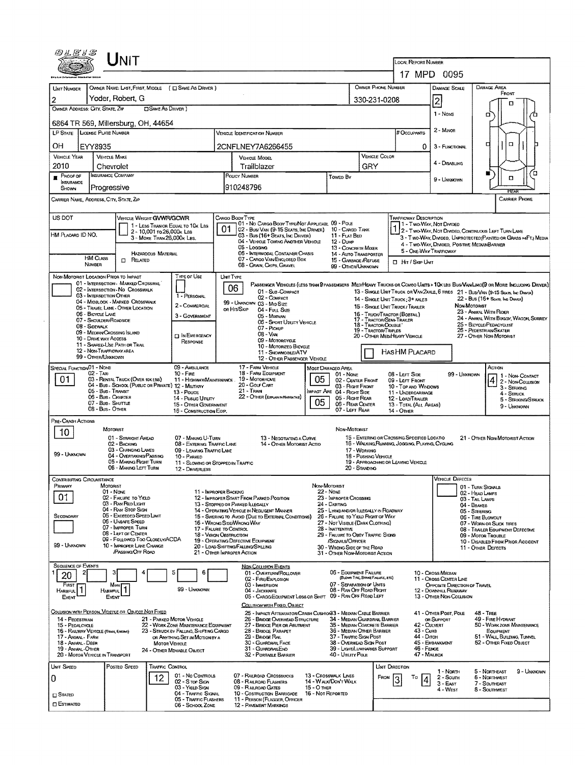|                                         | JNIT                                                                                    |                                                                                                             |                                                            |                                                                                                                                |                                                                            |                                                                                            |                                                                                                                                      |                                                                                                                        |                                                                                                                  |                                                                                     |                                                       |  |  |  |  |
|-----------------------------------------|-----------------------------------------------------------------------------------------|-------------------------------------------------------------------------------------------------------------|------------------------------------------------------------|--------------------------------------------------------------------------------------------------------------------------------|----------------------------------------------------------------------------|--------------------------------------------------------------------------------------------|--------------------------------------------------------------------------------------------------------------------------------------|------------------------------------------------------------------------------------------------------------------------|------------------------------------------------------------------------------------------------------------------|-------------------------------------------------------------------------------------|-------------------------------------------------------|--|--|--|--|
|                                         |                                                                                         |                                                                                                             |                                                            |                                                                                                                                |                                                                            |                                                                                            |                                                                                                                                      | LOCAL REPORT NUMBER                                                                                                    | 17 MPD 0095                                                                                                      |                                                                                     |                                                       |  |  |  |  |
|                                         |                                                                                         |                                                                                                             |                                                            |                                                                                                                                |                                                                            |                                                                                            |                                                                                                                                      |                                                                                                                        |                                                                                                                  |                                                                                     |                                                       |  |  |  |  |
| UNIT NUMBER                             | Yoder, Robert, G                                                                        | OWNER NAME: LAST, FIRST, MIDDLE ( E) SAME AS DRIVER )                                                       |                                                            |                                                                                                                                |                                                                            |                                                                                            | OWNER PHONE NUMBER                                                                                                                   |                                                                                                                        | DAMAGE SCALE                                                                                                     | <b>DAMAGE AREA</b>                                                                  | FRONT                                                 |  |  |  |  |
| 2                                       | OWNER ADDRESS: CITY, STATE, ZIP                                                         | <b>CISAME AS DRIVER</b> )                                                                                   |                                                            |                                                                                                                                |                                                                            |                                                                                            | 330-231-0208                                                                                                                         |                                                                                                                        | 2                                                                                                                |                                                                                     | п                                                     |  |  |  |  |
|                                         | 6864 TR 569, Millersburg, OH, 44654                                                     |                                                                                                             |                                                            |                                                                                                                                |                                                                            |                                                                                            |                                                                                                                                      |                                                                                                                        | 1 - Nove                                                                                                         | σ                                                                                   |                                                       |  |  |  |  |
|                                         | LP STATE   LICENSE PLATE NUMBER                                                         |                                                                                                             |                                                            | VEHICLE IDENTIFICATION NUMBER                                                                                                  |                                                                            |                                                                                            |                                                                                                                                      | <b>#OccuPANTS</b>                                                                                                      | 2 - Minor                                                                                                        |                                                                                     |                                                       |  |  |  |  |
| OН                                      | EYY8935                                                                                 |                                                                                                             |                                                            | 2CNFLNEY7A6266455                                                                                                              |                                                                            |                                                                                            |                                                                                                                                      | 0                                                                                                                      | 3 - FUNCTIONAL                                                                                                   | □                                                                                   | $\Box$                                                |  |  |  |  |
| <b>VEHICLE YEAR</b>                     | <b>VEHICLE MAKE</b>                                                                     |                                                                                                             |                                                            | VEHICLE MODEL                                                                                                                  |                                                                            |                                                                                            | VEHICLE COLOR                                                                                                                        |                                                                                                                        | 4 - DISABLING                                                                                                    |                                                                                     |                                                       |  |  |  |  |
| 2010<br>$P$ ROOF OF                     | Chevrolet<br><b>INSURANCE COMPANY</b>                                                   |                                                                                                             |                                                            | Trailblazer<br>POUCY NUMBER                                                                                                    |                                                                            |                                                                                            | GRY                                                                                                                                  |                                                                                                                        |                                                                                                                  | ĸ                                                                                   | ′0                                                    |  |  |  |  |
| <b>INSURANCE</b><br>SHOWN               | Progressive                                                                             |                                                                                                             |                                                            | 910248796                                                                                                                      |                                                                            | Toweo By                                                                                   |                                                                                                                                      |                                                                                                                        | 9 - Usinoows                                                                                                     |                                                                                     | $\Box$<br>RFAI                                        |  |  |  |  |
|                                         | CARRIER NAME, ADDRESS, CITY, STATE, ZIP                                                 |                                                                                                             |                                                            |                                                                                                                                |                                                                            |                                                                                            |                                                                                                                                      |                                                                                                                        |                                                                                                                  |                                                                                     | <b>CARRIER PHONE</b>                                  |  |  |  |  |
| US DOT                                  |                                                                                         | VEHICLE WEIGHT GVWR/GCWR                                                                                    | CARGO BODY TYPE                                            |                                                                                                                                |                                                                            |                                                                                            |                                                                                                                                      | Trafficway Description                                                                                                 |                                                                                                                  |                                                                                     |                                                       |  |  |  |  |
| HM PLACARD ID NO.                       |                                                                                         | 1 - LESS THAN OR EQUAL TO 10K LBS<br>2 - 10,001 το 26,000 k Las                                             | 01                                                         | 01 - No CARGO BODY TYPE/NOT APPLICABL 09 - POLE<br>02 - Busi Van (9-15 Seats, Inc Driver) 10 - Cargo Tank                      |                                                                            |                                                                                            |                                                                                                                                      |                                                                                                                        |                                                                                                                  | 1 - T WO-WAY, NOT DIVIDED<br>1 2 - T WO-WAY, NOT DIVIDED, CONTINUOUS LEFT TURN LANE |                                                       |  |  |  |  |
|                                         |                                                                                         | 3 - MORE THAN 26,000K LBS.                                                                                  |                                                            | 03 - Bus (16+ Seats, Inc Driver)<br>04 - VEHICLE TOWING ANOTHER VEHICLE<br>05 - Logging                                        |                                                                            | 11 - FLAT BED<br>12 - Duite                                                                |                                                                                                                                      |                                                                                                                        | 3 - Two-WAY, DIVIDEO, UNFROTECTED (PAINTED OR GRASS >4FT.) MEDIA<br>4 - Two-Way, DIVIOEO, POSITIVE MEDIANBARRIER |                                                                                     |                                                       |  |  |  |  |
|                                         | HM CLASS<br>$\Box$ Related                                                              | HAZARDOUS MATERIAL                                                                                          |                                                            | 06 - INTERMODAL CONTAINER CHASIS<br>07 - CARGO VAN ENCLOSED BOX                                                                |                                                                            | 13 - CONCRETE MIXER<br>14 - AUTO TRANSPORTER<br>15 - GARRAGE /REFUSE                       |                                                                                                                                      |                                                                                                                        | 5 - ONE-WAY TRAFFICWAY                                                                                           |                                                                                     |                                                       |  |  |  |  |
|                                         | NUMBER                                                                                  |                                                                                                             |                                                            | 08 - GRAIN, CHIPS, GRAVEL                                                                                                      |                                                                            | 99 - OTHER/UNKNOWN                                                                         |                                                                                                                                      | $\Box$ HIT / SKIP UNIT                                                                                                 |                                                                                                                  |                                                                                     |                                                       |  |  |  |  |
|                                         | NON-MOTORIST LOCATION PRIOR TO IMPACT<br>01 - INTERSECTION - MARKED CROSSWAL            | Type or Use                                                                                                 | UNT TYPE                                                   | PASSENGER VEHICLES (LESS THAN 9 PASSENGERS MEDIMEANY TRUCKS OR COMBO UNITS > 1 OK LES BUS/VAN/LIMO(9 OR MORE INCLUDING DRIVER) |                                                                            |                                                                                            |                                                                                                                                      |                                                                                                                        |                                                                                                                  |                                                                                     |                                                       |  |  |  |  |
|                                         | 02 - INTERSECTION - NO CROSSWALK<br>03 - INTERSECTION OTHER                             | 1 - PERSONAL                                                                                                | 06                                                         | 01 - Sub-COMPACT<br>02 - COMPACT                                                                                               |                                                                            |                                                                                            |                                                                                                                                      | 13 - SINGLE UNIT TRUCK OR VAN ZAXLE, 6 TIRES 21 - BUS/VAN (9-15 SEATS, INC DRIVER)<br>14 - SINGLE UNIT TRUCK: 3+ AXLES |                                                                                                                  | 22 - Bus (16+ Seats, Inc Driver)                                                    |                                                       |  |  |  |  |
|                                         | 04 - MIDBLOCK - MARKED CROSSWALK<br>05 - TRAVEL LANE - OTHER LOCATION                   | 2 - COMMERCIAL                                                                                              | on Hit/Skip                                                | 99 - UNKNOWN 03 - MID SIZE<br>04 - FULL SIZE                                                                                   |                                                                            |                                                                                            |                                                                                                                                      | 15 - SINGLE UNIT TRUCK / TRAILER                                                                                       |                                                                                                                  | NON-MOTORIST<br>23 - ANIMAL WITH RIDER                                              |                                                       |  |  |  |  |
|                                         | 06 - BICYCLE LANE<br>07 - SHOULDER/ROADSIDE                                             | 3 - GOVERNMENT                                                                                              |                                                            | 05 - MINIVAN<br>06 - Sport Utiuty Vehicle                                                                                      |                                                                            |                                                                                            | 18 - TRACTOR/DOUBLE'                                                                                                                 | 16 - TRUCK/TRACTOR (BOBTAIL)<br>17 - TRACTOR/SEMI-TRAILER                                                              |                                                                                                                  |                                                                                     | 24 - ANIMAL WITH BUGGY, WAGON, SURREY                 |  |  |  |  |
|                                         | 08 - Sidewalk<br>09 - MEDIAN CROSSING SLAND                                             | <b>DINEMERGENCY</b>                                                                                         |                                                            | 07 - Pickup<br>08 - VAN                                                                                                        |                                                                            |                                                                                            | 25 - BICYCLE/PEDACYCUST<br>26 - PEDESTRIAN SKATER<br>19 - Tractor/Triples<br>20 - OTHER MEDIHEAVY VEHICLE<br>27 - OTHER NON-MOTORIST |                                                                                                                        |                                                                                                                  |                                                                                     |                                                       |  |  |  |  |
|                                         | 10 - Drive way Access<br>11 - SHARED-USE PATH OR TRAIL                                  | RESPONSE                                                                                                    |                                                            | 09 - MOTORCYCLE<br>10 - MOTORIZED BICYCLE                                                                                      |                                                                            |                                                                                            |                                                                                                                                      |                                                                                                                        |                                                                                                                  |                                                                                     |                                                       |  |  |  |  |
|                                         | 12 - NON-TRAFFICWAY AREA<br>99 - Other/Unknown                                          |                                                                                                             |                                                            | 11 - SNOWMOBILEJATV<br>12 - OTHER PASSENGER VEHICLE                                                                            |                                                                            |                                                                                            |                                                                                                                                      | HASHM PLACARD                                                                                                          |                                                                                                                  |                                                                                     |                                                       |  |  |  |  |
| SPECIAL FUNCTION 01 - NOME              | $02 - TAN$                                                                              | 09 - AMBULANCE<br>$10 -$ Fire                                                                               |                                                            | 17 - FARM VEHICLE<br>18 - FARM EQUIPMENT                                                                                       |                                                                            | MOST DAMAGED AREA<br>01 - None                                                             |                                                                                                                                      | 08 - LEFT SIDE                                                                                                         |                                                                                                                  | ACTION<br>99 - UNKNOWN                                                              | 1 - Non-Contact                                       |  |  |  |  |
| 01                                      | 03 - RENTAL TRUCK (OVER 10K LBS)<br>04 - Bus - SCHOOL (PUBLIC OR PRIVATE) 12 - MILITARY | 11 - HIGHWAY/MAINTENANCE.                                                                                   |                                                            | 19 MOTORHOME<br>20 - Golf CART                                                                                                 | 05                                                                         | 02 - CENTER FRONT<br>03 - Right Front                                                      |                                                                                                                                      | 09 - LEFT FRONT<br>10 - TOP AND WINDOWS                                                                                |                                                                                                                  |                                                                                     | 2 - Non-Counsion<br>3 - Struking                      |  |  |  |  |
|                                         | 05 - Bus - Transit<br>06 - Bus - Charter                                                | 13 - Pouce<br>14 - Pusuc Unury                                                                              |                                                            | $21 -$ TRAIN<br>22 - OTHER (EXPLANDI NARRATIVE)                                                                                |                                                                            | IMPACT ARE 04 - RIGHT SIDE<br>05 - Right REAR                                              |                                                                                                                                      | 11 - UNDERCARRIAGE<br>12 - LOAD/TRAILER                                                                                |                                                                                                                  |                                                                                     | 4 - STRUCK<br>5 - STRIKING/STRUCK                     |  |  |  |  |
|                                         | 07 - Bus - Shuttle<br>08 - Bus - Other                                                  | 15 - OTHER GOVERNMENT<br>16 - CONSTRUCTION EOIP.                                                            |                                                            |                                                                                                                                | 05                                                                         | 06 - REAR CENTER<br>07 - LEFT REAR                                                         |                                                                                                                                      | 13 - TOTAL (ALL AREAS)<br>14 - OTHER                                                                                   |                                                                                                                  |                                                                                     | 9 - UNKNOWN                                           |  |  |  |  |
| PRE-CRASH ACTIONS                       |                                                                                         |                                                                                                             |                                                            |                                                                                                                                |                                                                            |                                                                                            |                                                                                                                                      |                                                                                                                        |                                                                                                                  |                                                                                     |                                                       |  |  |  |  |
| 10                                      | MOTORIST<br>01 - STRAIGHT AHEAD                                                         | 07 - MAKING U-TURN                                                                                          |                                                            | 13 - NEGOTIATING A CURVE                                                                                                       |                                                                            | NON-MOTORIST                                                                               |                                                                                                                                      | 15 - ENTERING OR CROSSING SPECIFIED LOCATIO                                                                            |                                                                                                                  |                                                                                     | 21 - OTHER NON-MOTORIST ACTION                        |  |  |  |  |
|                                         | 02 - BACKING<br>03 - CHANGING LANES                                                     | 08 - ENTERING TRAFFIC LANE<br>09 - LEAVING TRAFFIC LANE                                                     |                                                            | 14 - OTHER MOTORIST ACTIO                                                                                                      |                                                                            |                                                                                            | 17 - WORKING                                                                                                                         | 16 - WALKING RUNNING, JOGGING, PLAYING, CYCLING                                                                        |                                                                                                                  |                                                                                     |                                                       |  |  |  |  |
| 99 - UNKNOWN                            | 04 - OVERTAKING/PASSING<br>05 - MAKING RIGHT TURN                                       | 10 - PARKED                                                                                                 | 18 - PUSHING VEHICLE<br>11 - SLOWING OR STOPPED IN TRAFFIC |                                                                                                                                |                                                                            |                                                                                            |                                                                                                                                      | 19 - APPROACHING OR LEAVING VEHICLE                                                                                    |                                                                                                                  |                                                                                     |                                                       |  |  |  |  |
|                                         | 06 - MAKING LEFT TURN                                                                   | 12 - DRIVERLESS                                                                                             |                                                            |                                                                                                                                |                                                                            |                                                                                            | 20 - Standing                                                                                                                        |                                                                                                                        |                                                                                                                  |                                                                                     |                                                       |  |  |  |  |
| Contributing Circumstance<br>PRIMARY    | MOTORIST                                                                                |                                                                                                             |                                                            |                                                                                                                                | NON MOTORIST                                                               |                                                                                            |                                                                                                                                      |                                                                                                                        | VEHICLE DEFECTS                                                                                                  | 01 - TURN SIGNALS                                                                   |                                                       |  |  |  |  |
| 01                                      | $01 - None$<br>02 - FAILURE TO YIELD<br>03 - RAN REO LIGHT                              |                                                                                                             | 11 - IMPROPER BACKING                                      | 12 - IMPROPER START FROM PARKED POSITION                                                                                       |                                                                            | 22 - Nove<br>23 - IMPROPER CROSSING                                                        |                                                                                                                                      |                                                                                                                        |                                                                                                                  | 02 - HEAD LAMPS<br>03 - TAIL LAMPS                                                  |                                                       |  |  |  |  |
|                                         | 04 - RAN STOP SIGN<br>05 - Exceeped Speed Limit                                         |                                                                                                             |                                                            | 13 - STOPPED OR PARKED IN EGALLY<br>14 - OPERATING VEHICLE IN NEGLIGENT MANNER                                                 |                                                                            | 24 - DARTING<br>25 - LYING AND/OR ILLEGALLY IN ROADWAY                                     |                                                                                                                                      |                                                                                                                        |                                                                                                                  | 04 - BRAKES<br><b>05 - STEERING</b>                                                 |                                                       |  |  |  |  |
| SECONDARY                               | 06 - UNSAFE SPEED<br>07 - IMPROPER TURN                                                 |                                                                                                             | 16 - WRONG SIDE/WRONG WAY                                  | 15 - Swering to Avoid (Due to External Conditions)                                                                             |                                                                            | 26 - FALURE TO YIELD RIGHT OF WAY<br>27 - NOT VISIBLE (DARK CLOTHING)                      |                                                                                                                                      | 06 - TIRE BLOWOUT<br>07 - WORN OR SLICK TIRES                                                                          |                                                                                                                  |                                                                                     |                                                       |  |  |  |  |
|                                         | 08 - LEFT OF CENTER<br>09 - Followed Too Closelv/ACDA                                   |                                                                                                             | 17 - FALURE TO CONTROL<br>18 - Vision Obstruction          | 19 - OPERATING DEFECTIVE EQUIPMENT                                                                                             | 28 - Inattentive<br>29 - FAILURE TO OBEY TRAFFIC SIGNS<br>/SIGNALS/OFFICER |                                                                                            | 08 - TRAILER EQUIPMENT DEFECTIVE<br>09 - MOTOR TROUBLE                                                                               |                                                                                                                        |                                                                                                                  |                                                                                     |                                                       |  |  |  |  |
| 99 - UNKNOWN                            | 10 - IMPROPER LANE CHANGE<br>PASSING OFF ROAD                                           |                                                                                                             | 21 - OTHER IMPROPER ACTION                                 | 20 - LOAD SHIFTING/FALLING/SPILLING                                                                                            |                                                                            | 30 - WRONG SIDE OF THE ROAD<br>31 - OTHER NON-MOTORIST ACTION                              |                                                                                                                                      |                                                                                                                        |                                                                                                                  | 11 - Other Defects                                                                  | 10 - Disabled From Prior Accident                     |  |  |  |  |
| SEQUENCE OF EVENTS                      |                                                                                         |                                                                                                             |                                                            | <b>NON-COLLISION EVENTS</b>                                                                                                    |                                                                            |                                                                                            |                                                                                                                                      |                                                                                                                        |                                                                                                                  |                                                                                     |                                                       |  |  |  |  |
| 20                                      | з                                                                                       | 6<br>5                                                                                                      |                                                            | 01 - OVERTURN/ROLLOVER<br>02 - FIRE/EXPLOSION                                                                                  |                                                                            | 06 - EQUIPMENT FALURE                                                                      | (BLOWN TIRE, BRAKE FALURE, ETC)                                                                                                      |                                                                                                                        | 10 - Cross Median<br>11 - Cross CENTER LINE                                                                      |                                                                                     |                                                       |  |  |  |  |
| FIRST<br>HARMFUL <sup>1</sup>           | Most<br>1<br>HARMFUL                                                                    | 99 - UNKNOWN                                                                                                |                                                            | 03 - IMMERSION<br>04 - JACKKNIFE                                                                                               |                                                                            | 07 - Separation of Units<br>08 - RAN OFF ROAD RIGHT                                        |                                                                                                                                      |                                                                                                                        | OPPOSITE DIRECTION OF TRAVEL<br>12 - DOWNHILL RUNAWAY                                                            |                                                                                     |                                                       |  |  |  |  |
| Event                                   | <b>EVENT</b>                                                                            |                                                                                                             |                                                            | 05 - CARGO/EQUIPMENT LOSS OR SHIFT 09 - RAN OFF ROAD LEFT<br>COLLISION WITH FIXED, OBJECT                                      |                                                                            |                                                                                            |                                                                                                                                      |                                                                                                                        | 13 - OTHER NON-COLLISION                                                                                         |                                                                                     |                                                       |  |  |  |  |
|                                         | COLLISION WITH PERSON, VEHICLE OR OBJECT NOT FIXED                                      |                                                                                                             |                                                            | 25 - IMPACT ATTENUATOR/CRASH CUSHION33 - MEDIAN CABLE BARRIER                                                                  |                                                                            |                                                                                            |                                                                                                                                      |                                                                                                                        | 41 - OTHER POST, POLE                                                                                            | <b>48 - TREE</b>                                                                    |                                                       |  |  |  |  |
| 14 - PEOESTRIAN<br>15 - PEDALCYCLE      | 16 - RAILWAY VEHICLE (TRAIN, ENGINE)                                                    | 21 - PARKEO MOTOR VEHICLE<br>22 - WORK ZONE MAINTENANCE EQUIPMENT<br>23 - STRUCK BY FALLING, SHIFTING CARGO |                                                            | 26 - BRIDGE OVERHEAD STRUCTURE<br>27 - BRIDGE PIER OR ABUTMENT<br>28 - BRIDGE PARAPET                                          |                                                                            | 34 - MEDIAN GUARDRAIL BARRIER<br>35 - Median Concrete Barrier<br>36 - MEDIAN OTHER BARRIER |                                                                                                                                      | 43 - Curb                                                                                                              | on Support<br>42 - CULVERT                                                                                       | 49 - FIRE HYDRANT                                                                   | 50 - WORK ZONE MAINTENANCE<br>EQUIPMENT               |  |  |  |  |
| 17 - ANNAL - FARM<br>18 - ANIMAL - DEER |                                                                                         | OR ANYTHING SET IN MOTION BY A<br><b>MOTOR VEHICLE</b>                                                      |                                                            | 29 - Bridge Rail<br>30 - GUARDRAIL FACE                                                                                        |                                                                            | 37 - TRAFFIC SIGN POST<br>38 - Overhead Sign Post                                          |                                                                                                                                      | 44 - Ditch                                                                                                             | 45 - EMBANKMENT                                                                                                  |                                                                                     | 51 - WALL BUILDING, TUNNEL<br>52 - OTHER FIXED OBJECT |  |  |  |  |
| 19 - Animal - Other                     | 20 - MOTOR VEHICLE IN TRANSPORT                                                         | 24 - OTHER MOVABLE OBJECT                                                                                   |                                                            | 31 - GUARDRAILEND<br>32 - PORTABLE BARRIER                                                                                     |                                                                            | 39 - LIGHT/LUMINARIES SUPPORT<br>40 - Unury Pole                                           |                                                                                                                                      |                                                                                                                        | 46 - FENCE<br>47 - MALBOX                                                                                        |                                                                                     |                                                       |  |  |  |  |
| UNIT SPEED                              | POSTED SPEED                                                                            | <b>TRAFFIC CONTROL</b>                                                                                      |                                                            |                                                                                                                                |                                                                            |                                                                                            |                                                                                                                                      | UNIT DIRECTION                                                                                                         |                                                                                                                  |                                                                                     |                                                       |  |  |  |  |
| 0                                       |                                                                                         | 01 - No Controus<br>12<br>02 - S TOP SIGN                                                                   |                                                            | 07 - RAILROAD CROSSBUCKS<br>08 - RALROAD FLASHERS                                                                              |                                                                            | 13 - Crosswalk Lines<br>14 - WALK/DON'T WALK                                               | FROM                                                                                                                                 | To                                                                                                                     | 1 - North<br>2 - South<br>4                                                                                      | 5 - NORTHEAST<br><b>6 - NORTHWEST</b><br>7 - SOUTHEAST                              | 9 - Unknown                                           |  |  |  |  |
| $\square$ Stated                        |                                                                                         | 03 - YIELD SIGN<br>04 - TRAFFIC SIGNAL                                                                      |                                                            | 09 - RALROAD GATES<br>10 - COSTRUCTION BARRICADE                                                                               | 15 - О тнек<br>16 - Not Reported                                           |                                                                                            |                                                                                                                                      |                                                                                                                        | $3 - EAST$<br>4 - West                                                                                           | 8 - Southwest                                                                       |                                                       |  |  |  |  |
| $\square$ Estimated                     |                                                                                         | 05 - TRAFFIC FLASHERS<br>06 - SCHOOL ZONE                                                                   |                                                            | 11 - PERSON (FLAGGER, OFFICER<br>12 - PAVEMENT MARKINGS                                                                        |                                                                            |                                                                                            |                                                                                                                                      |                                                                                                                        |                                                                                                                  |                                                                                     |                                                       |  |  |  |  |
|                                         |                                                                                         |                                                                                                             |                                                            |                                                                                                                                |                                                                            |                                                                                            |                                                                                                                                      |                                                                                                                        |                                                                                                                  |                                                                                     |                                                       |  |  |  |  |